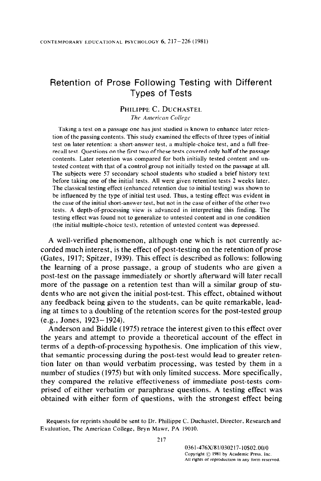# Retention of Prose Following Testing with Different Types of Tests

## PHILIPPE C. DUCHASTEL

The American College

Taking a test on a passage one has just studied is known to enhance later retention of the passing contents. This study examined the effects of three types of initial test on later retention: a short-answer test, a multiple-choice test, and a full freerecall test. Questions on the first two of these tests covered only half of the passage contents. Later retention was compared for both initially tested content and untested content with that of a control group not initially tested on the passage at all. The subjects were 57 secondary school students who studied a brief history text before taking one of the initial tests. Al1 were given retention tests 2 weeks later. The classical testing effect (enhanced retention due to initial testing) was shown to be influenced by the type of initial test used. Thus, a testing effect was evident in the case of the initial short-answer test, but not in the case of either of the other two tests. A depth-of-processing view is advanced in interpreting this finding. The testing effect was found not to generalize to untested content and in one condition (the initial multiple-choice test), retention of untested content was depressed.

A well-verified phenomenon, although one which is not currently accorded much interest, is the effect of post-testing on the retention of prose (Gates, 1917; Spitzer, 1939). This effect is described as follows: following the learning of a prose passage, a group of students who are given a post-test on the passage immediately or shortly afterward will later recall more of the passage on a retention test than will a similar group of students who are not given the initial post-test. This effect, obtained without any feedback being given to the students, can be quite remarkable, leading at times to a doubling of the retention scores for the post-tested group (e.g., Jones, 1923- 1924).

Anderson and Biddle (1975) retrace the interest given to this effect over the years and attempt to provide a theoretical account of the effect in terms of a depth-of-processing hypothesis. One implication of this view, that semantic processing during the post-test would lead to greater retention later on than would verbatim processing, was tested by them in a number of studies (1975) but with only limited success. More specifically, they compared the relative effectiveness of immediate post-tests comprised of either verbatim or paraphrase questions. A testing effect was obtained with either form of questions, with the strongest effect being

Requests for reprints should be sent to Dr. Phillippe C. Duchastel, Director, Research and Evaluation, The American College, Bryn Mawr. PA 19010.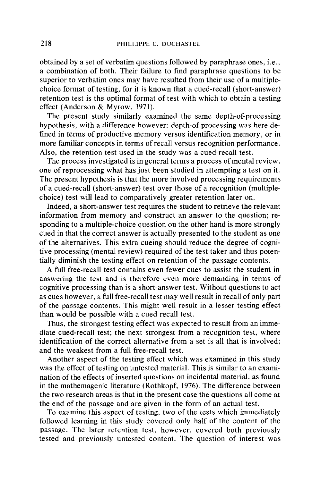obtained by a set of verbatim questions followed by paraphrase ones, i.e., a combination of both. Their failure to find paraphrase questions to be superior to verbatim ones may have resulted from their use of a multiplechoice format of testing, for it is known that a cued-recall (short-answer) retention test is the optimal format of test with which to obtain a testing effect (Anderson & Myrow, 1971).

The present study similarly examined the same depth-of-processing hypothesis, with a difference however: depth-of-processing was here defined in terms of productive memory versus identification memory, or in more familiar concepts in terms of recall versus recognition performance. Also, the retention test used in the study was a cued-recall test.

The process investigated is in general terms a process of mental review, one of reprocessing what has just been studied in attempting a test on it. The present hypothesis is that the more involved processing requirements of a cued-recall (short-answer) test over those of a recognition (multiplechoice) test will lead to comparatively greater retention later on.

Indeed, a short-answer test requires the student to retrieve the relevant information from memory and construct an answer to the question; responding to a multiple-choice question on the other hand is more strongly cued in that the correct answer is actually presented to the student as one of the alternatives. This extra cueing should reduce the degree of cognitive processing (mental review) required of the test taker and thus potentially diminish the testing effect on retention of the passage contents.

A full free-recall test contains even fewer cues to assist the student in answering the test and is therefore even more demanding in terms of cognitive processing than is a short-answer test. Without questions to act as cues however, a full free-recall test may well result in recall of only part of the passage contents. This might well result in a lesser testing effect than would be possible with a cued recall test.

Thus, the strongest testing effect was expected to result from an immediate cued-recall test; the next strongest from a recognition test, where identification of the correct alternative from a set is all that is involved; and the weakest from a full free-recall test.

Another aspect of the testing effect which was examined in this study was the effect of testing on untested material. This is similar to an examination of the effects of inserted questions on incidental material, as found in the mathemagenic literature (Rothkopf, 1976). The difference between the two research areas is that in the present case the questions all come at the end of the passage and are given in the form of an actual test.

To examine this aspect of testing, two of the tests which immediately followed learning in this study covered only half of the content of the passage. The later retention test, however, covered both previously tested and previously untested content. The question of interest was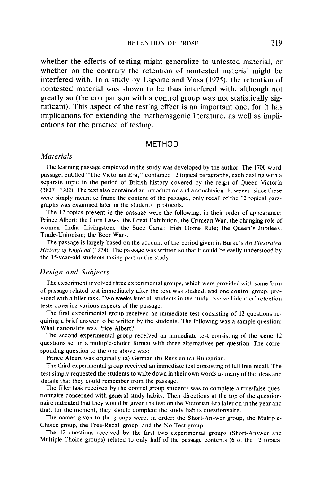whether the effects of testing might generalize to untested material, or whether on the contrary the retention of nontested material might be interfered with. In a study by Laporte and Voss (1975), the retention of nontested material was shown to be thus interfered with, although not greatly so (the comparison with a control group was not statistically significant). This aspect of the testing effect is an important one, for it has implications for extending the mathemagenic literature, as well as implications for the practice of testing.

## METHOD

#### Materials

The learning passage employed in the study was developed by the author. The 1700-word passage, entitled "The Victorian Era," contained 12 topical paragraphs, each dealing with a separate topic in the period of British history covered by the reign of Queen Victoria (1837- 1901). The text also contained an introduction and a conclusion; however, since these were simply meant to frame the content of the passage, only recall of the 12 topical paragraphs was examined later in the students' protocols.

The 12 topics present in the passage were the following, in their order of appearance: Prince Albert; the Corn Laws; the Great Exhibition; the Crimean War; the changing role of women; India; Livingstone; the Suez Canal; Irish Home Rule; the Queen's Jubilees; Trade-Unionism; the Boer Wars.

The passage is largely based on the account of the period given in Burke's An Illustrated History of England (1974). The passage was written so that it could be easily understood by the 15-year-old students taking part in the study.

### Design and Subjects

The experiment involved three experimental groups, which were provided with some form of passage-related test immediately after the text was studied, and one control group, provided with a tiller task. Two weeks later all students in the study received identical retention tests covering various aspects of the passage.

The first experimental group received an immediate test consisting of 12 questions requiring a brief answer to be written by the students. The following was a sample question: What nationality was Price Albert?

The second experimental group received an immediate test consisting of the same 12 questions set in a multiple-choice format with three alternatives per question. The corresponding question to the one above was:

Prince Albert was originally (a) German (b) Russian (c) Hungarian.

The third experimental group received an immediate test consisting of full free recall. The test simply requested the students to write down in their own words as many of the ideas and details that they could remember from the passage.

The tiller task received by the control group students was to complete a true/false questionnaire concerned with genera1 study habits. Their directions at the top of the questionnaire indicated that they would be given the test on the Victorian Era later on in the year and that, for the moment, they should complete the study habits questionnaire.

The names given to the groups were, in order: the Short-Answer group, the Multiple-Choice group, the Free-Recall group, and the No-Test group.

The 12 questions received by the first two experimental groups (Short-Answer and Multiple-Choice groups) related to only half of the passage contents (6 of the 12 topical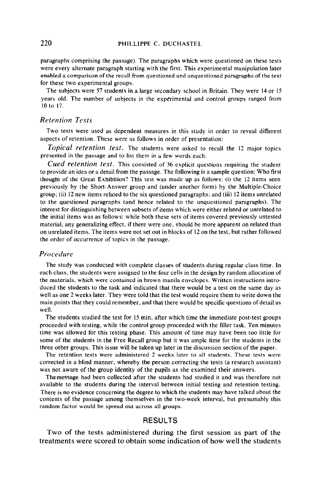paragraphs comprising the passage). The paragraphs which were questioned on these tests were every alternate paragraph starting with the first. This experimental manipulation later enabled a comparison of the recall from questioned and unquestioned paragraphs of the text for these two experimental groups.

The subjects were 57 students in a large secondary school in Britain. They were 14 or I5 years old. The number of subjects in the experimental and control groups ranged from 10 to 17.

### Retention Tests

Two tests were used as dependent measures in this study in order to reveal different aspects of retention. These were as follows in order of presentation:

Topical retention test. The students were asked to recall the I2 major topics presented in the passage and to list them in a few words each.

Cued retention test. This consisted of 36 explicit questions requiring the student to provide an idea or a detail from the passage. The following is a sample question: Who first thought of the Great Exhibition? This test was made up as follows: (i) the 12 items seen previously by the Short-Answer group and (under another form) by the Multiple-Choice group; (ii) 12 new items related to the six questioned paragraphs; and (iii) I2 items unrelated to the questioned paragraphs (and hence related to the unquestioned paragraphs). The interest for distinguishing between subsets of items which were either related or unrelated to the initial items was as follows: while both these sets of items covered previously untested material, any generalizing effect, if there were one, should be more apparent on related than on unrelated items. The items were not set out in blocks of I2 on the test, but rather followed the order of occurrence of topics in the passage.

#### Procedure

The study was conducted with complete classes of students during regular class time. In each class, the students were assigned to the four cells in the design by random allocation of the materials, which were contained in brown manila envelopes. Written instructions introduced the students to the task and indicated that there would be a test on the same day as well as one 2 weeks later. They were told that the test would require them to write down the main points that they could remember, and that there would be specific questions of detail as well.

The students studied the test for I5 min, after which time the immediate post-test groups proceeded with testing, while the control group proceeded with the tiller task. Ten minutes time was allowed for this testing phase. This amount of time may have been too little for some of the students in the Free Recall group but it was ample time for the students in the three other groups. This issue will be taken up later in the discussion section of the paper.

The retention tests were administered 2 weeks later to all students. These tests were corrected in a blind manner, whereby the person correcting the tests (a research assistant) was not aware of the group identity of the pupils as she examined their answers.

Themessage had been collected after the students had studied it and was therefore not available to the students during the interval between initial testing and retention testing. There is no evidence concerning the degree to which the students may have talked about the contents of the passage among themselves in the two-week interval, but presumably this random factor would be spread out across all groups.

### RESULTS

Two of the tests administered during the first session as part of the treatments were scored to obtain some indication of how well the students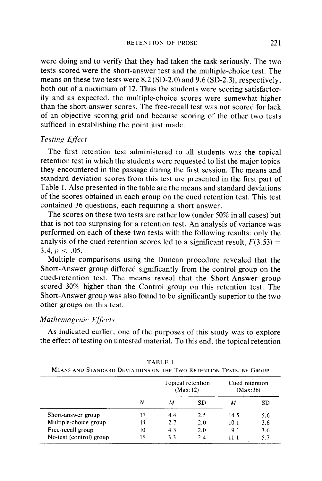were doing and to verify that they had taken the task seriously. The two tests scored were the short-answer test and the multiple-choice test. The means on these two tests were 8.2 (SD-2.0) and 9.6 (SD-2.3), respectively, both out of a maximum of 12. Thus the students were scoring satisfactorily and as expected, the multiple-choice scores were somewhat higher than the short-answer scores. The free-recall test was not scored for lack of an objective scoring grid and because scoring of the other two tests sufficed in establishing the point just made.

## Testing Effect

The first retention test administered to all students was the topical retention test in which the students were requested to list the major topics they encountered in the passage during the first session. The means and standard deviation scores from this test are presented in the first part of Table 1. Also presented in the table are the means and standard deviations of the scores obtained in each group on the cued retention test. This test contained 36 questions, each requiring a short answer.

The scores on these two tests are rather low (under 50% in all cases) but that is not too surprising for a retention test. An analysis of variance was performed on each of these two tests with the following results: only the analysis of the cued retention scores led to a significant result,  $F(3.53) =$ 3.4,  $p < .05$ .

Multiple comparisons using the Duncan procedure revealed that the Short-Answer group differed significantly from the control group on the cued-retention test. The means reveal that the Short-Answer group scored 30% higher than the Control group on this retention test. The Short-Answer group was also found to be significantly superior to the two other groups on this test.

### Mathemagenic Effects

As indicated earlier, one of the purposes of this study was to explore the effect of testing on untested material. To this end, the topical retention

| MEANS AND STANDARD DEVIATIONS ON THE TWO RETENTION TESTS, BY GROUP |    |                               |     |                            |     |
|--------------------------------------------------------------------|----|-------------------------------|-----|----------------------------|-----|
|                                                                    |    | Topical retention<br>(Max:12) |     | Cued retention<br>(Max:36) |     |
|                                                                    | Ν  | м                             | SD  | М                          | SD  |
| Short-answer group                                                 | 17 | 4.4                           | 2.5 | 14.5                       | 5.6 |
| Multiple-choice group                                              | 14 | 2.7                           | 2.0 | 10.1                       | 3.6 |
| Free-recall group                                                  | 10 | 4.3                           | 2.0 | 9.1                        | 3.6 |
| No-test (control) group                                            | 16 | 3.3                           | 2.4 | 11-1                       | 5.7 |

TABLE 1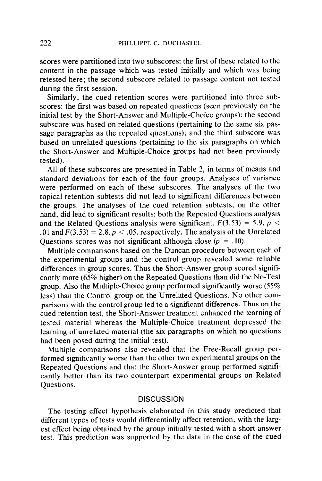scores were partitioned into two subscores: the first of these related to the content in the passage which was tested initially and which was being retested here; the second subscore related to passage content not tested during the first session.

Similarly, the cued retention scores were partitioned into three subscores: the first was based on repeated questions (seen previously on the initial test by the Short-Answer and Multiple-Choice groups); the second subscore was based on related questions (pertaining to the same six passage paragraphs as the repeated questions); and the third subscore was based on unrelated questions (pertaining to the six paragraphs on which the Short-Answer and Multiple-Choice groups had not been previously tested).

All of these subscores are presented in Table 2, in terms of means and standard deviations for each of the four groups. Analyses of variance were performed on each of these subscores. The analyses of the two topical retention subtests did not lead to significant differences between the groups. The analyses of the cued retention subtests, on the other hand, did lead to significant results: both the Repeated Questions analysis and the Related Questions analysis were significant,  $F(3.53) = 5.9$ ,  $p <$ .01 and  $F(3.53) = 2.8, p < .05$ , respectively. The analysis of the Unrelated Questions scores was not significant although close  $(p = .10)$ .

Multiple comparisons based on the Duncan procedure between each of the experimental groups and the control group revealed some reliable differences in group scores. Thus the Short-Answer group scored significantly more (65% higher) on the Repeated Questions than did the No-Test group. Also the Multiple-Choice group performed significantly worse (55% less) than the Control group on the Unrelated Questions. No other comparisons with the control group led to a significant difference. Thus on the cued retention test, the Short-Answer treatment enhanced the learning of tested material whereas the Multiple-Choice treatment depressed the learning of unrelated material (the six paragraphs on which no questions had been posed during the initial test).

Multiple comparisons also revealed that the Free-Recall group performed significantly worse than the other two experimental groups on the Repeated Questions and that the Short-Answer group performed significantly better than its two counterpart experimental groups on Related Questions.

### **DISCUSSION**

The testing effect hypothesis elaborated in this study predicted that different types of tests would differentially affect retention, with the largest effect being obtained by the group initially tested with a short-answer test. This prediction was supported by the data in the case of the cued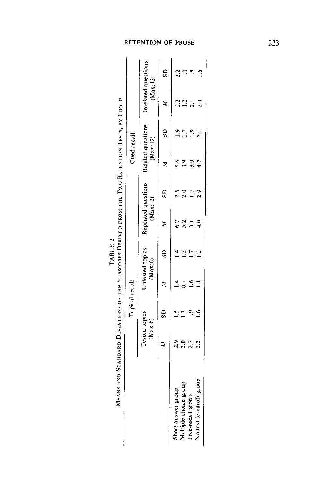ć Ė ĕ Ĕ TABLE 2  $\epsilon$ :<br>ن  $\frac{1}{2}$ **MEANS AND STANDARD DEVIATIONS OF** 

|               |                          | Topical recall |                          |            |                       | Cued recall |                   |                |                     |
|---------------|--------------------------|----------------|--------------------------|------------|-----------------------|-------------|-------------------|----------------|---------------------|
|               | Tested topics<br>(Max:6) |                | Untested topics<br>Max:6 | (Max:12)   | Repeated questions    | (Max:12)    | Related questions | Max:12         | Jnrelated questions |
|               | $\overline{\mathbf{S}}$  | Ź              | SD                       | Ź          | $\overline{\text{3}}$ |             | SD                | Ź              | S)                  |
|               |                          |                |                          | 6.7        | 2.5                   |             |                   |                |                     |
| $\frac{0}{2}$ |                          | 0.7            |                          | 5.2        | 2.0                   | 5.5         |                   | $\frac{1}{2}$  |                     |
| 2.7           |                          | $\leq$         |                          | $\ddot{ }$ |                       | 3.9         | $\frac{9}{1}$     | $\overline{2}$ |                     |
| 2.2           | $\frac{6}{1}$            | Ξ              |                          | $\ddot{ }$ | 2.9                   | 4.7         | $\vec{c}$         |                | $\overline{6}$      |

# RETENTION OF PROSE 223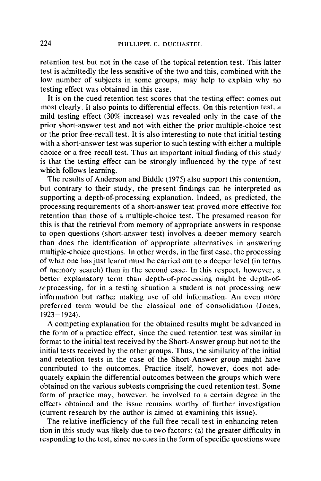retention test but not in the case of the topical retention test. This latter test is admittedly the less sensitive of the two and this, combined with the low number of subjects in some groups, may help to explain why no testing effect was obtained in this case.

It is on the cued retention test scores that the testing effect comes out most clearly. It also points to differential effects. On this retention test, a mild testing effect (30% increase) was revealed only in the case of the prior short-answer test and not with either the prior multiple-choice test or the prior free-recall test. It is also interesting to note that initial testing with a short-answer test was superior to such testing with either a multiple choice or a free-recall test. Thus an important initial finding of this study is that the testing effect can be strongly influenced by the type of test which follows learning.

The results of Anderson and Biddle (1975) also support this contention, but contrary to their study, the present findings can be interpreted as supporting a depth-of-processing explanation. Indeed, as predicted, the processing requirements of a short-answer test proved more effective for retention than those of a multiple-choice test. The presumed reason for this is that the retrieval from memory of appropriate answers in response to open questions (short-answer test) involves a deeper memory search than does the identification of appropriate alternatives in answering multiple-choice questions. In other words, in the first case, the processing of what one has just learnt must be carried out to a deeper level (in terms of memory search) than in the second case. In this respect, however, a better explanatory term than depth-of-processing might be depth-ofreprocessing, for in a testing situation a student is not processing new information but rather making use of old information. An even more preferred term would be the classical one of consolidation (Jones, 1923- 1924).

A competing explanation for the obtained results might be advanced in the form of a practice effect, since the cued retention test was similar in format to the initial test received by the Short-Answer group but not to the initial tests received by the other groups. Thus, the similarity of the initial and retention tests in the case of the Short-Answer group might have contributed to the outcomes. Practice itself, however, does not adequately explain the differential outcomes between the groups which were obtained on the various subtests comprising the cued retention test. Some form of practice may, however, be involved to a certain degree in the effects obtained and the issue remains worthy of further investigation (current research by the author is aimed at examining this issue).

The relative inefficiency of the full free-recall test in enhancing retention in this study was likely due to two factors: (a) the greater difficulty in responding to the test, since no cues in the form of specific questions were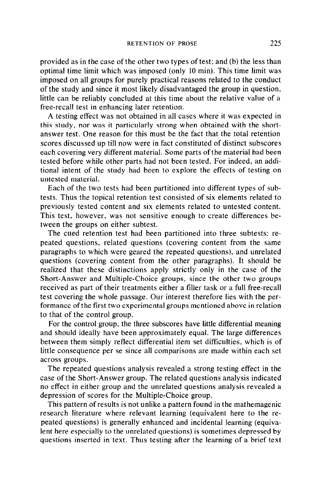provided as in the case of the other two types of test; and (b) the less than optimal time limit which was imposed (only 10 min). This time limit was imposed on all groups for purely practical reasons related to the conduct of the study and since it most likely disadvantaged the group in question, little can be reliably concluded at this time about the relative value of a free-recall test in enhancing later retention.

A testing effect was not obtained in all cases where it was expected in this study, nor was it particularly strong when obtained with the shortanswer test. One reason for this must be the fact that the total retention scores discussed up till now were in fact constituted of distinct subscores each covering very different material. Some parts of the material had been tested before while other parts had not been tested. For indeed, an additional intent of the study had been to explore the effects of testing on untested material.

Each of the two tests had been partitioned into different types of subtests. Thus the topical retention test consisted of six elements related to previously tested content and six elements related to untested content. This test, however, was not sensitive enough to create differences between the groups on either subtest.

The cued retention test had been partitioned into three subtests: repeated questions, related questions (covering content from the same paragraphs to which were geared the repeated questions), and unrelated questions (covering content from the other paragraphs). It should be realized that these distinctions apply strictly only in the case of the Short-Answer and Multiple-Choice groups, since the other two groups received as part of their treatments either a filler task or a full free-recall test covering the whole passage. Our interest therefore lies with the performance of the first two experimental groups mentioned above in relation to that of the control group.

For the control group, the three subscores have little differential meaning and should ideally have been approximately equal. The large differences between them simply reflect differential item set difficulties, which is of little consequence per se since all comparisons are made within each set across groups.

The repeated questions analysis revealed a strong testing effect in the case of the Short-Answer group. The related questions analysis indicated no effect in either group and the unrelated questions analysis revealed a depression of scores for the Multiple-Choice group.

This pattern of results is not unlike a pattern found in the mathemagenic research literature where relevant learning (equivalent here to the repeated questions) is generally enhanced and incidental learning (equivalent here especially to the unrelated questions) is sometimes depressed by questions inserted in text. Thus testing after the learning of a brief text